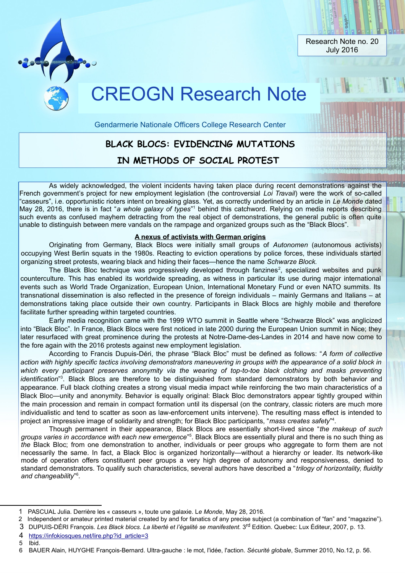Research Note no. 20 July 2016

# CREOGN Research Note

Gendarmerie Nationale Officers College Research Center

## **BLACK BLOCS: EVIDENCING MUTATIONS**

### **IN METHODS OF SOCIAL PROTEST**

As widely acknowledged, the violent incidents having taken place during recent demonstrations against the French government's project for new employment legislation (the controversial *Loi Travail*) were the work of so-called "casseurs", i.e. opportunistic rioters intent on breaking glass. Yet, as correctly underlined by an article in *Le Monde* dated May 28, 20[1](#page-0-0)6, there is in fact "a whole galaxy of types"<sup>1</sup> behind this catchword. Relying on media reports describing such events as confused mayhem detracting from the real object of demonstrations, the general public is often quite unable to distinguish between mere vandals on the rampage and organized groups such as the "Black Blocs".

#### **A nexus of activists with German origins**

Originating from Germany, Black Blocs were initially small groups of *Autonomen* (autonomous activists) occupying West Berlin squats in the 1980s. Reacting to eviction operations by police forces, these individuals started organizing street protests, wearing black and hiding their faces—hence the name *Schwarze Block.*

The Black Bloc technique was progressively developed through fanzines<sup>[2](#page-0-1)</sup>, specialized websites and punk counterculture. This has enabled its worldwide spreading, as witness in particular its use during major international events such as World Trade Organization, European Union, International Monetary Fund or even NATO summits. Its transnational dissemination is also reflected in the presence of foreign individuals – mainly Germans and Italians – at demonstrations taking place outside their own country. Participants in Black Blocs are highly mobile and therefore facilitate further spreading within targeted countries.

Early media recognition came with the 1999 WTO summit in Seattle where "Schwarze Block" was anglicized into "Black Bloc". In France, Black Blocs were first noticed in late 2000 during the European Union summit in Nice; they later resurfaced with great prominence during the protests at Notre-Dame-des-Landes in 2014 and have now come to the fore again with the 2016 protests against new employment legislation.

According to Francis Dupuis-Déri, the phrase "Black Bloc" must be defined as follows: "*A form of collective action with highly specific tactics involving demonstrators maneuvering in groups with the appearance of a solid block in which every participant preserves anonymity via the wearing of top-to-toe black clothing and masks preventing identification*" [3](#page-0-2) . Black Blocs are therefore to be distinguished from standard demonstrators by both behavior and appearance. Full black clothing creates a strong visual media impact while reinforcing the two main characteristics of a Black Bloc—unity and anonymity. Behavior is equally original: Black Bloc demonstrators appear tightly grouped within the main procession and remain in compact formation until its dispersal (on the contrary, classic rioters are much more individualistic and tend to scatter as soon as law-enforcement units intervene). The resulting mass effect is intended to project an impressive image of solidarity and strength; for Black Bloc participants, "*mass creates safety*" [4](#page-0-3) .

Though permanent in their appearance, Black Blocs are essentially short-lived since "*the makeup of such* groups varies in accordance with each new emergence"<sup>[5](#page-0-4)</sup>. Black Blocs are essentially plural and there is no such thing as *the* Black Bloc; from one demonstration to another, individuals or peer groups who aggregate to form them are not necessarily the same. In fact, a Black Bloc is organized horizontally—without a hierarchy or leader. Its network-like mode of operation offers constituent peer groups a very high degree of autonomy and responsiveness, denied to standard demonstrators. To qualify such characteristics, several authors have described a "*trilogy of horizontality, fluidity and changeability*" [6](#page-0-5) .

<span id="page-0-0"></span><sup>1</sup> PASCUAL Julia. Derrière les « casseurs », toute une galaxie. L*e Monde*, May 28, 2016.

<span id="page-0-1"></span><sup>2</sup> Independent or amateur printed material created by and for fanatics of any precise subject (a combination of "fan" and "magazine").

<span id="page-0-2"></span><sup>3</sup> DUPUIS-DÉRI François. Les Black blocs. La liberté et l'égalité se manifestent. 3<sup>rd</sup> Edition. Quebec: Lux Éditeur, 2007, p. 13.

<span id="page-0-3"></span><sup>4</sup> https://infokiosques.net/lire.php?id\_article=3<br>5 lbid.

<span id="page-0-4"></span>Ibid.

<span id="page-0-5"></span><sup>6</sup> BAUER Alain, HUYGHE François-Bernard. Ultra-gauche : le mot, l'idée, l'action. *Sécurité globale*, Summer 2010, No.12, p. 56.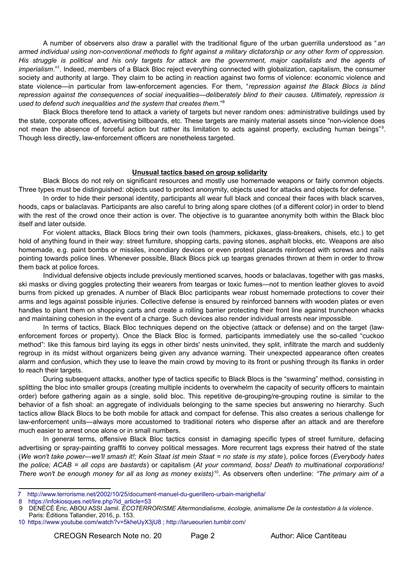A number of observers also draw a parallel with the traditional figure of the urban guerrilla understood as "*an armed individual using non-conventional methods to fight against a military dictatorship or any other form of oppression. His struggle is political and his only targets for attack are the government, major capitalists and the agents of imperialism*."[7](#page-1-0) . Indeed, members of a Black Bloc reject everything connected with globalization, capitalism, the consumer society and authority at large. They claim to be acting in reaction against two forms of violence: economic violence and state violence—in particular from law-enforcement agencies. For them, "*repression against the Black Blocs is blind repression against the consequences of social inequalities—deliberately blind to their causes. Ultimately, repression is used to defend such inequalities and the system that creates them.*" [8](#page-1-1)

Black Blocs therefore tend to attack a variety of targets but never random ones: administrative buildings used by the state, corporate offices, advertising billboards, etc. These targets are mainly material assets since "non-violence does not mean the absence of forceful action but rather its limitation to acts against property, excluding human beings"<sup>[9](#page-1-2)</sup>. Though less directly, law-enforcement officers are nonetheless targeted.

#### **Unusual tactics based on group solidarity**

Black Blocs do not rely on significant resources and mostly use homemade weapons or fairly common objects. Three types must be distinguished: objects used to protect anonymity, objects used for attacks and objects for defense.

In order to hide their personal identity, participants all wear full black and conceal their faces with black scarves, hoods, caps or balaclavas. Participants are also careful to bring along spare clothes (of a different color) in order to blend with the rest of the crowd once their action is over. The objective is to quarantee anonymity both within the Black bloc itself and later outside.

For violent attacks, Black Blocs bring their own tools (hammers, pickaxes, glass-breakers, chisels, etc.) to get hold of anything found in their way: street furniture, shopping carts, paving stones, asphalt blocks, etc. Weapons are also homemade, e.g. paint bombs or missiles, incendiary devices or even protest placards reinforced with screws and nails pointing towards police lines. Whenever possible, Black Blocs pick up teargas grenades thrown at them in order to throw them back at police forces.

 Individual defensive objects include previously mentioned scarves, hoods or balaclavas, together with gas masks, ski masks or diving goggles protecting their wearers from teargas or toxic fumes—not to mention leather gloves to avoid burns from picked up grenades. A number of Black Bloc participants wear robust homemade protections to cover their arms and legs against possible injuries. Collective defense is ensured by reinforced banners with wooden plates or even handles to plant them on shopping carts and create a rolling barrier protecting their front line against truncheon whacks and maintaining cohesion in the event of a charge. Such devices also render individual arrests near impossible.

In terms of tactics, Black Bloc techniques depend on the objective (attack or defense) and on the target (lawenforcement forces or property). Once the Black Bloc is formed, participants immediately use the so-called "cuckoo method": like this famous bird laying its eggs in other birds' nests uninvited, they split, infiltrate the march and suddenly regroup in its midst without organizers being given any advance warning. Their unexpected appearance often creates alarm and confusion, which they use to leave the main crowd by moving to its front or pushing through its flanks in order to reach their targets.

During subsequent attacks, another type of tactics specific to Black Blocs is the "swarming" method, consisting in splitting the bloc into smaller groups (creating multiple incidents to overwhelm the capacity of security officers to maintain order) before gathering again as a single, solid bloc. This repetitive de-grouping/re-grouping routine is similar to the behavior of a fish shoal: an aggregate of individuals belonging to the same species but answering no hierarchy. Such tactics allow Black Blocs to be both mobile for attack and compact for defense. This also creates a serious challenge for law-enforcement units—always more accustomed to traditional rioters who disperse after an attack and are therefore much easier to arrest once alone or in small numbers.

In general terms, offensive Black Bloc tactics consist in damaging specific types of street furniture, defacing advertising or spray-painting graffiti to convey political messages. More recurrent tags express their hatred of the state (*We won't take power—we'll smash it!; Kein Staat ist mein Staat = no state is my state*), police forces (*Everybody hates the police; ACAB = all cops are bastards*) or capitalism (*At your command, boss! Death to multinational corporations! There won't be enough money for all as long as money exists)*[10](#page-1-3) . As observers often underline: *"The primary aim of a*

<span id="page-1-0"></span><sup>7</sup> http://www.terrorisme.net/2002/10/25/document-manuel-du-guerillero-urbain-marighella/

<span id="page-1-1"></span><sup>8</sup> https://infokiosques.net/lire.php?id article=53

<span id="page-1-2"></span><sup>9</sup> DENÉCÉ Éric, ABOU ASSI Jamil. *ÉCOTERRORISME Altermondialisme, écologie, animalisme De la contestation à la violence*. Paris: Éditions Tallandier, 2016, p. 153.

<span id="page-1-3"></span><sup>10</sup> https://www.youtube.com/watch?v=5kheUyX3jU8 ; http://larueourien.tumblr.com/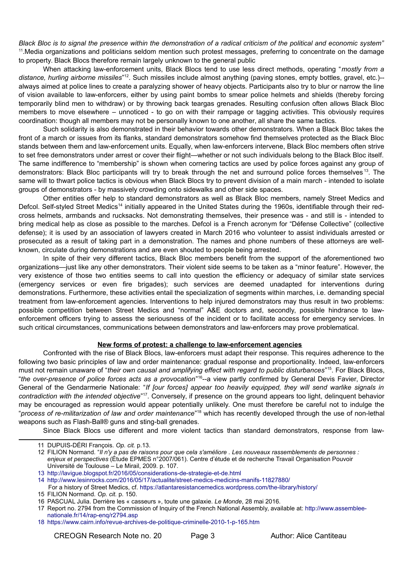*Black Bloc is to signal the presence within the demonstration of a radical criticism of the political and economic system"* [11](#page-2-0).Media organizations and politicians seldom mention such protest messages, preferring to concentrate on the damage to property. Black Blocs therefore remain largely unknown to the general public

When attacking law-enforcement units, Black Blocs tend to use less direct methods, operating "*mostly from a* distance, hurling airborne missiles<sup>"[12](#page-2-1)</sup>. Such missiles include almost anything (paving stones, empty bottles, gravel, etc.)-always aimed at police lines to create a paralyzing shower of heavy objects. Participants also try to blur or narrow the line of vision available to law-enforcers, either by using paint bombs to smear police helmets and shields (thereby forcing temporarily blind men to withdraw) or by throwing back teargas grenades. Resulting confusion often allows Black Bloc members to move elsewhere – unnoticed - to go on with their rampage or tagging activities. This obviously requires coordination: though all members may not be personally known to one another, all share the same tactics.

Such solidarity is also demonstrated in their behavior towards other demonstrators. When a Black Bloc takes the front of a march or issues from its flanks, standard demonstrators somehow find themselves protected as the Black Bloc stands between them and law-enforcement units. Equally, when law-enforcers intervene, Black Bloc members often strive to set free demonstrators under arrest or cover their flight—whether or not such individuals belong to the Black Bloc itself. The same indifference to "membership" is shown when cornering tactics are used by police forces against any group of demonstrators: Black Bloc participants will try to break through the net and surround police forces themselves<sup>[13](#page-2-2)</sup>. The same will to thwart police tactics is obvious when Black Blocs try to prevent division of a main march - intended to isolate groups of demonstrators - by massively crowding onto sidewalks and other side spaces.

Other entities offer help to standard demonstrators as well as Black Bloc members, namely Street Medics and Defcol. Self-styled Street Medics<sup>[14](#page-2-3)</sup> initially appeared in the United States during the 1960s, identifiable through their redcross helmets, armbands and rucksacks. Not demonstrating themselves, their presence was - and still is - intended to bring medical help as close as possible to the marches. Defcol is a French acronym for "Défense Collective" (collective defense); it is used by an association of lawyers created in March 2016 who volunteer to assist individuals arrested or prosecuted as a result of taking part in a demonstration. The names and phone numbers of these attorneys are wellknown, circulate during demonstrations and are even shouted to people being arrested.

In spite of their very different tactics, Black Bloc members benefit from the support of the aforementioned two organizations—just like any other demonstrators. Their violent side seems to be taken as a "minor feature". However, the very existence of those two entities seems to call into question the efficiency or adequacy of similar state services (emergency services or even fire brigades); such services are deemed unadapted for interventions during demonstrations. Furthermore, these activities entail the specialization of segments within marches, i.e. demanding special treatment from law-enforcement agencies. Interventions to help injured demonstrators may thus result in two problems: possible competition between Street Medics and "normal" A&E doctors and, secondly, possible hindrance to lawenforcement officers trying to assess the seriousness of the incident or to facilitate access for emergency services. In such critical circumstances, communications between demonstrators and law-enforcers may prove problematical.

#### **New forms of protest: a challenge to law-enforcement agencies**

Confronted with the rise of Black Blocs, law-enforcers must adapt their response. This requires adherence to the following two basic principles of law and order maintenance: gradual response and proportionality. Indeed, law-enforcers must not remain unaware of "*their own causal and amplifying effect with regard to public disturbances*" [15](#page-2-4). For Black Blocs, "the over-presence of police forces acts as a provocation"<sup>[16](#page-2-5)</sup>--a view partly confirmed by General Devis Favier, Director General of the Gendarmerie Nationale: "*If [our forces] appear too heavily equipped, they will send warlike signals in* contradiction with the intended objective"<sup>[17](#page-2-6)</sup>. Conversely, if presence on the ground appears too light, delinquent behavior may be encouraged as repression would appear potentially unlikely. One must therefore be careful not to indulge the "*process of re-militarization of law and order maintenance*" [18](#page-2-7) which has recently developed through the use of non-lethal weapons such as Flash-Ball® guns and sting-ball grenades.

Since Black Blocs use different and more violent tactics than standard demonstrators, response from law-

<span id="page-2-0"></span><sup>11</sup> DUPUIS-DÉRI François. *Op. cit.* p.13.

<span id="page-2-1"></span><sup>12</sup> FILION Normand. "*Il n'y a pas de raisons pour que cela s'améliore . Les nouveaux rassemblements de personnes : enjeux et perspectives* (Étude EPMES n°2007/061). Centre d'étude et de recherche Travail Organisation Pouvoir Université de Toulouse – Le Mirail, 2009. p. 107.

<span id="page-2-2"></span><sup>13</sup> http://lavigue.blogspot.fr/2016/05/considerations-de-strategie-et-de.html

<span id="page-2-3"></span><sup>14</sup> http://www.lesinrocks.com/2016/05/17/actualite/street-medics-medicins-manifs-11827880/

For a history of Street Medics, cf. https://atlantaresistancemedics.wordpress.com/the-library/history/

<span id="page-2-4"></span><sup>15</sup> FILION Normand. *Op. cit.* p. 150.

<span id="page-2-6"></span><span id="page-2-5"></span><sup>16</sup> PASCUAL Julia. Derrière les « casseurs », toute une galaxie. *Le Monde*, 28 mai 2016.

<span id="page-2-7"></span><sup>17</sup> Report no. 2794 from the Commission of Inquiry of the French National Assembly, available at: http://www.assembleenationale.fr/14/rap-enq/r2794.asp 18 https://www.cairn.info/revue-archives-de-politique-criminelle-2010-1-p-165.htm